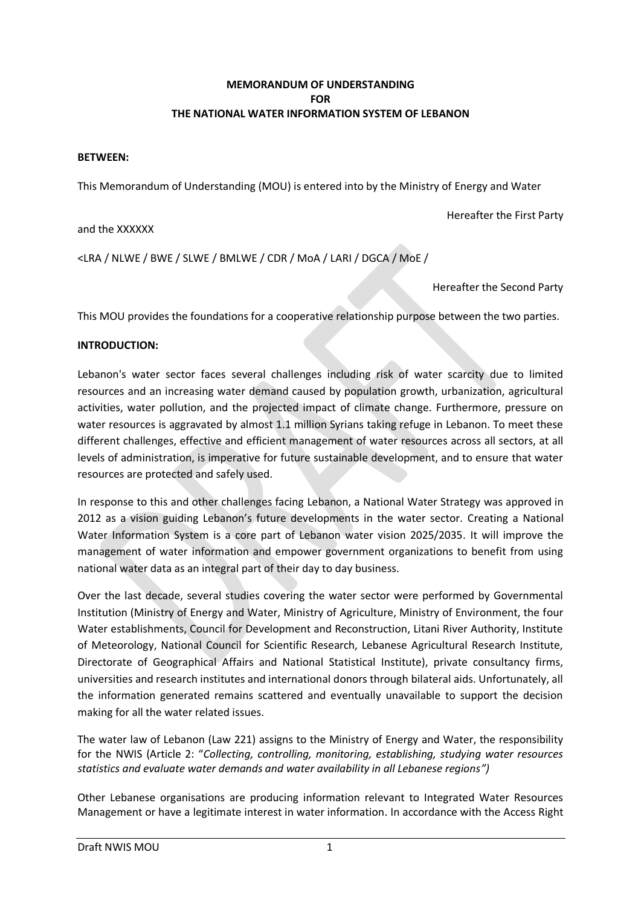# **MEMORANDUM OF UNDERSTANDING FOR THE NATIONAL WATER INFORMATION SYSTEM OF LEBANON**

### **BETWEEN:**

This Memorandum of Understanding (MOU) is entered into by the Ministry of Energy and Water

Hereafter the First Party

and the XXXXXX

<LRA / NLWE / BWE / SLWE / BMLWE / CDR / MoA / LARI / DGCA / MoE /

Hereafter the Second Party

This MOU provides the foundations for a cooperative relationship purpose between the two parties.

# **INTRODUCTION:**

Lebanon's water sector faces several challenges including risk of water scarcity due to limited resources and an increasing water demand caused by population growth, urbanization, agricultural activities, water pollution, and the projected impact of climate change. Furthermore, pressure on water resources is aggravated by almost 1.1 million Syrians taking refuge in Lebanon. To meet these different challenges, effective and efficient management of water resources across all sectors, at all levels of administration, is imperative for future sustainable development, and to ensure that water resources are protected and safely used.

In response to this and other challenges facing Lebanon, a National Water Strategy was approved in 2012 as a vision guiding Lebanon's future developments in the water sector. Creating a National Water Information System is a core part of Lebanon water vision 2025/2035. It will improve the management of water information and empower government organizations to benefit from using national water data as an integral part of their day to day business.

Over the last decade, several studies covering the water sector were performed by Governmental Institution (Ministry of Energy and Water, Ministry of Agriculture, Ministry of Environment, the four Water establishments, Council for Development and Reconstruction, Litani River Authority, Institute of Meteorology, National Council for Scientific Research, Lebanese Agricultural Research Institute, Directorate of Geographical Affairs and National Statistical Institute), private consultancy firms, universities and research institutes and international donors through bilateral aids. Unfortunately, all the information generated remains scattered and eventually unavailable to support the decision making for all the water related issues.

The water law of Lebanon (Law 221) assigns to the Ministry of Energy and Water, the responsibility for the NWIS (Article 2: "*Collecting, controlling, monitoring, establishing, studying water resources statistics and evaluate water demands and water availability in all Lebanese regions")* 

Other Lebanese organisations are producing information relevant to Integrated Water Resources Management or have a legitimate interest in water information. In accordance with the Access Right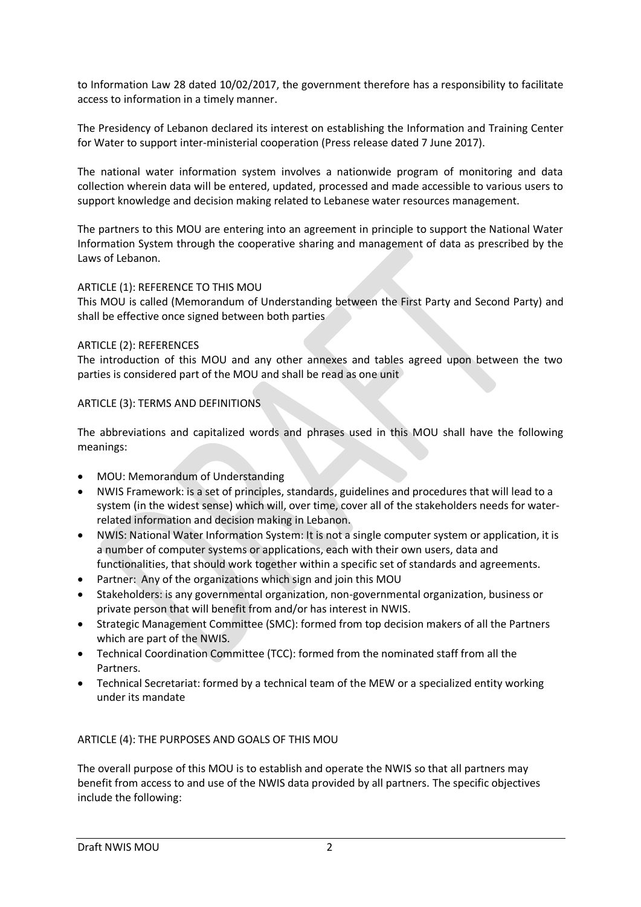to Information Law 28 dated 10/02/2017, the government therefore has a responsibility to facilitate access to information in a timely manner.

The Presidency of Lebanon declared its interest on establishing the Information and Training Center for Water to support inter-ministerial cooperation (Press release dated 7 June 2017).

The national water information system involves a nationwide program of monitoring and data collection wherein data will be entered, updated, processed and made accessible to various users to support knowledge and decision making related to Lebanese water resources management.

The partners to this MOU are entering into an agreement in principle to support the National Water Information System through the cooperative sharing and management of data as prescribed by the Laws of Lebanon.

### ARTICLE (1): REFERENCE TO THIS MOU

This MOU is called (Memorandum of Understanding between the First Party and Second Party) and shall be effective once signed between both parties

#### ARTICLE (2): REFERENCES

The introduction of this MOU and any other annexes and tables agreed upon between the two parties is considered part of the MOU and shall be read as one unit

# ARTICLE (3): TERMS AND DEFINITIONS

The abbreviations and capitalized words and phrases used in this MOU shall have the following meanings:

- MOU: Memorandum of Understanding
- NWIS Framework: is a set of principles, standards, guidelines and procedures that will lead to a system (in the widest sense) which will, over time, cover all of the stakeholders needs for waterrelated information and decision making in Lebanon.
- NWIS: National Water Information System: It is not a single computer system or application, it is a number of computer systems or applications, each with their own users, data and functionalities, that should work together within a specific set of standards and agreements.
- Partner: Any of the organizations which sign and join this MOU
- Stakeholders: is any governmental organization, non-governmental organization, business or private person that will benefit from and/or has interest in NWIS.
- Strategic Management Committee (SMC): formed from top decision makers of all the Partners which are part of the NWIS.
- Technical Coordination Committee (TCC): formed from the nominated staff from all the Partners.
- Technical Secretariat: formed by a technical team of the MEW or a specialized entity working under its mandate

# ARTICLE (4): THE PURPOSES AND GOALS OF THIS MOU

The overall purpose of this MOU is to establish and operate the NWIS so that all partners may benefit from access to and use of the NWIS data provided by all partners. The specific objectives include the following: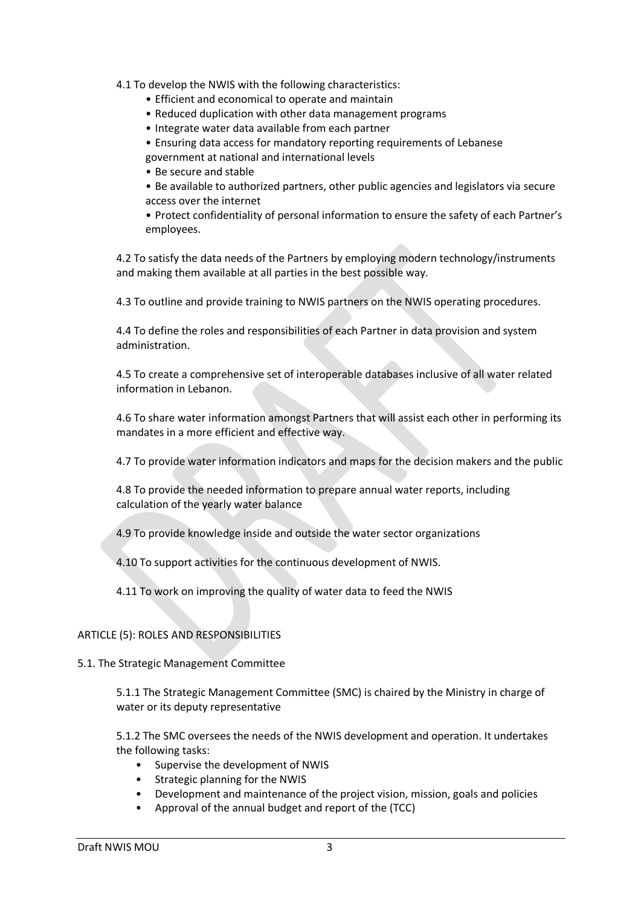4.1 To develop the NWIS with the following characteristics:

- Efficient and economical to operate and maintain
- Reduced duplication with other data management programs
- Integrate water data available from each partner
- Ensuring data access for mandatory reporting requirements of Lebanese government at national and international levels
- Be secure and stable
- Be available to authorized partners, other public agencies and legislators via secure access over the internet
- Protect confidentiality of personal information to ensure the safety of each Partner's employees.

4.2 To satisfy the data needs of the Partners by employing modern technology/instruments and making them available at all parties in the best possible way.

4.3 To outline and provide training to NWIS partners on the NWIS operating procedures.

4.4 To define the roles and responsibilities of each Partner in data provision and system administration.

4.5 To create a comprehensive set of interoperable databases inclusive of all water related information in Lebanon.

4.6 To share water information amongst Partners that will assist each other in performing its mandates in a more efficient and effective way.

4.7 To provide water information indicators and maps for the decision makers and the public

4.8 To provide the needed information to prepare annual water reports, including calculation of the yearly water balance

4.9 To provide knowledge inside and outside the water sector organizations

4.10 To support activities for the continuous development of NWIS.

4.11 To work on improving the quality of water data to feed the NWIS

# ARTICLE (5): ROLES AND RESPONSIBILITIES

#### 5.1. The Strategic Management Committee

5.1.1 The Strategic Management Committee (SMC) is chaired by the Ministry in charge of water or its deputy representative

5.1.2 The SMC oversees the needs of the NWIS development and operation. It undertakes the following tasks:

- Supervise the development of NWIS
- Strategic planning for the NWIS
- Development and maintenance of the project vision, mission, goals and policies
- Approval of the annual budget and report of the (TCC)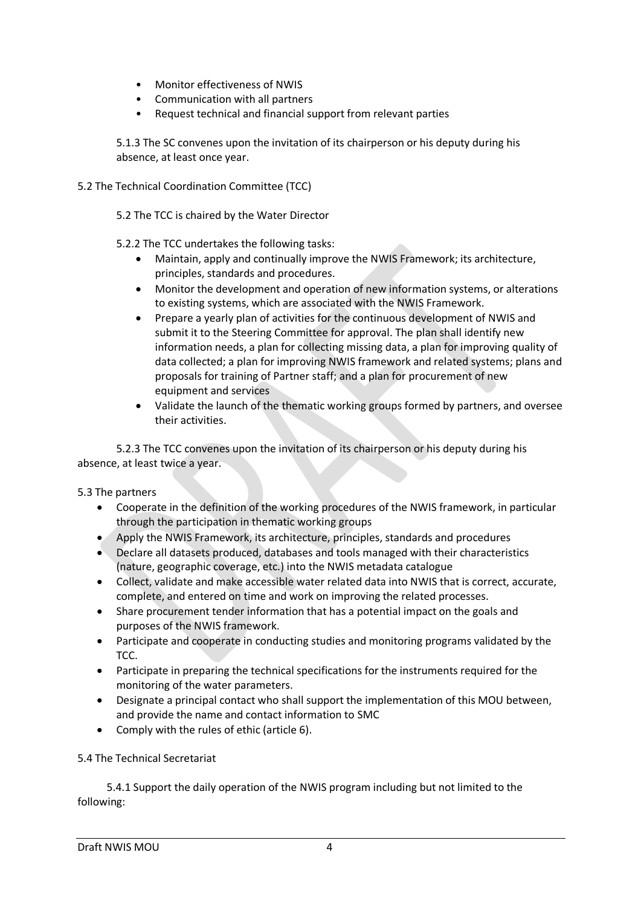- Monitor effectiveness of NWIS
- Communication with all partners
- Request technical and financial support from relevant parties

5.1.3 The SC convenes upon the invitation of its chairperson or his deputy during his absence, at least once year.

### 5.2 The Technical Coordination Committee (TCC)

- 5.2 The TCC is chaired by the Water Director
- 5.2.2 The TCC undertakes the following tasks:
	- Maintain, apply and continually improve the NWIS Framework; its architecture, principles, standards and procedures.
	- Monitor the development and operation of new information systems, or alterations to existing systems, which are associated with the NWIS Framework.
	- Prepare a yearly plan of activities for the continuous development of NWIS and submit it to the Steering Committee for approval. The plan shall identify new information needs, a plan for collecting missing data, a plan for improving quality of data collected; a plan for improving NWIS framework and related systems; plans and proposals for training of Partner staff; and a plan for procurement of new equipment and services
	- Validate the launch of the thematic working groups formed by partners, and oversee their activities.

5.2.3 The TCC convenes upon the invitation of its chairperson or his deputy during his absence, at least twice a year.

# 5.3 The partners

- Cooperate in the definition of the working procedures of the NWIS framework, in particular through the participation in thematic working groups
- Apply the NWIS Framework, its architecture, principles, standards and procedures
- Declare all datasets produced, databases and tools managed with their characteristics (nature, geographic coverage, etc.) into the NWIS metadata catalogue
- Collect, validate and make accessible water related data into NWIS that is correct, accurate, complete, and entered on time and work on improving the related processes.
- Share procurement tender information that has a potential impact on the goals and purposes of the NWIS framework.
- Participate and cooperate in conducting studies and monitoring programs validated by the TCC.
- Participate in preparing the technical specifications for the instruments required for the monitoring of the water parameters.
- Designate a principal contact who shall support the implementation of this MOU between, and provide the name and contact information to SMC
- Comply with the rules of ethic (article 6).

# 5.4 The Technical Secretariat

5.4.1 Support the daily operation of the NWIS program including but not limited to the following: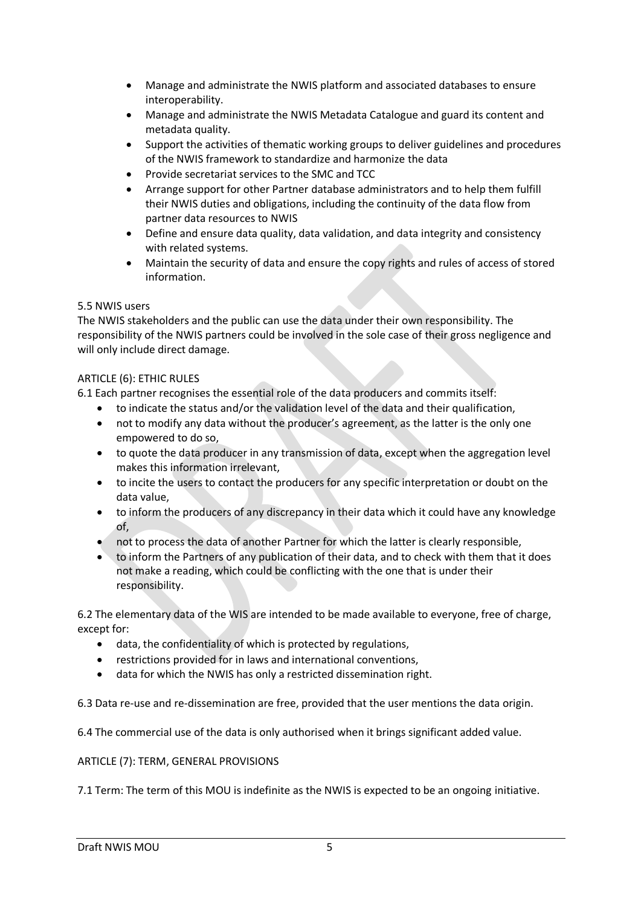- Manage and administrate the NWIS platform and associated databases to ensure interoperability.
- Manage and administrate the NWIS Metadata Catalogue and guard its content and metadata quality.
- Support the activities of thematic working groups to deliver guidelines and procedures of the NWIS framework to standardize and harmonize the data
- Provide secretariat services to the SMC and TCC
- Arrange support for other Partner database administrators and to help them fulfill their NWIS duties and obligations, including the continuity of the data flow from partner data resources to NWIS
- Define and ensure data quality, data validation, and data integrity and consistency with related systems.
- Maintain the security of data and ensure the copy rights and rules of access of stored information.

# 5.5 NWIS users

The NWIS stakeholders and the public can use the data under their own responsibility. The responsibility of the NWIS partners could be involved in the sole case of their gross negligence and will only include direct damage.

# ARTICLE (6): ETHIC RULES

6.1 Each partner recognises the essential role of the data producers and commits itself:

- to indicate the status and/or the validation level of the data and their qualification,
- not to modify any data without the producer's agreement, as the latter is the only one empowered to do so,
- to quote the data producer in any transmission of data, except when the aggregation level makes this information irrelevant,
- to incite the users to contact the producers for any specific interpretation or doubt on the data value,
- to inform the producers of any discrepancy in their data which it could have any knowledge of,
- not to process the data of another Partner for which the latter is clearly responsible,
- to inform the Partners of any publication of their data, and to check with them that it does not make a reading, which could be conflicting with the one that is under their responsibility.

6.2 The elementary data of the WIS are intended to be made available to everyone, free of charge, except for:

- data, the confidentiality of which is protected by regulations,
- restrictions provided for in laws and international conventions,
- data for which the NWIS has only a restricted dissemination right.

6.3 Data re-use and re-dissemination are free, provided that the user mentions the data origin.

6.4 The commercial use of the data is only authorised when it brings significant added value.

# ARTICLE (7): TERM, GENERAL PROVISIONS

7.1 Term: The term of this MOU is indefinite as the NWIS is expected to be an ongoing initiative.